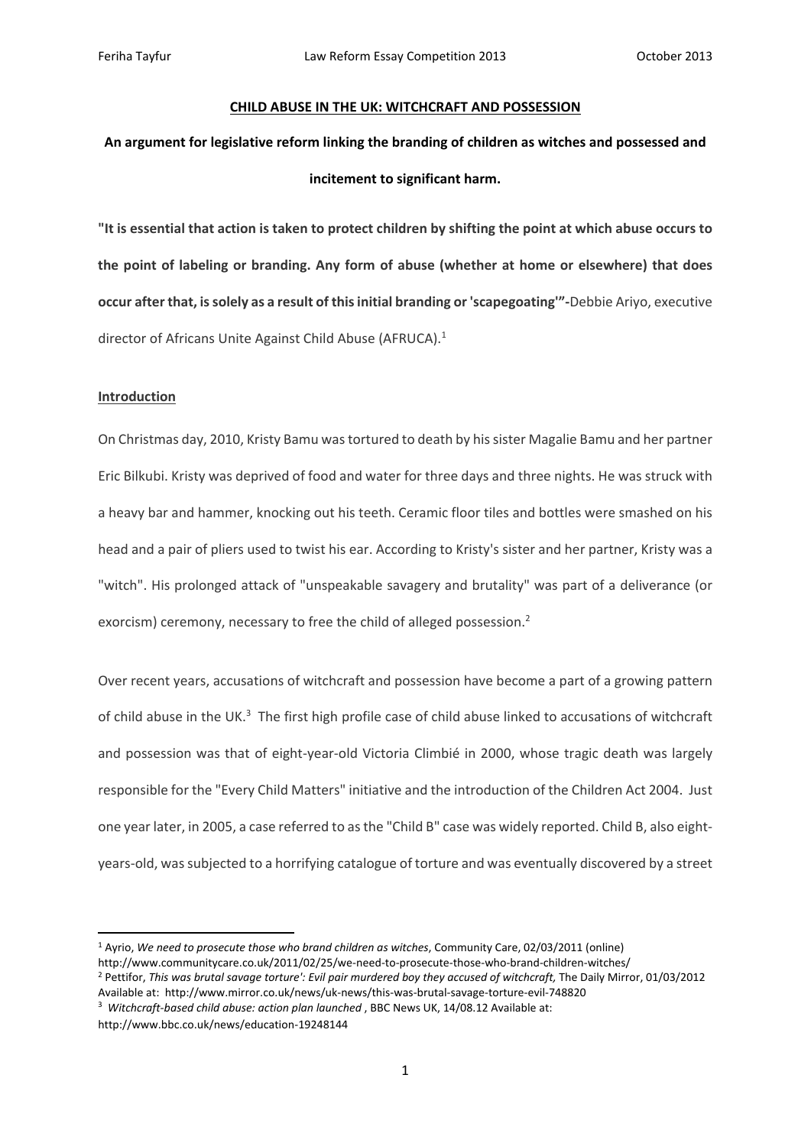#### **CHILD ABUSE IN THE UK: WITCHCRAFT AND POSSESSION**

# **An argument for legislative reform linking the branding of children as witches and possessed and incitement to significant harm.**

"It is essential that action is taken to protect children by shifting the point at which abuse occurs to **the point of labeling or branding. Any form of abuse (whether at home or elsewhere) that does occur after that, issolely as a result of thisinitial branding or 'scapegoating'"‐**Debbie Ariyo, executive director of Africans Unite Against Child Abuse (AFRUCA).<sup>1</sup>

### **Introduction**

On Christmas day, 2010, Kristy Bamu wastortured to death by hissister Magalie Bamu and her partner Eric Bilkubi. Kristy was deprived of food and water for three days and three nights. He was struck with a heavy bar and hammer, knocking out his teeth. Ceramic floor tiles and bottles were smashed on his head and a pair of pliers used to twist his ear. According to Kristy's sister and her partner, Kristy was a "witch". His prolonged attack of "unspeakable savagery and brutality" was part of a deliverance (or exorcism) ceremony, necessary to free the child of alleged possession.<sup>2</sup>

Over recent years, accusations of witchcraft and possession have become a part of a growing pattern of child abuse in the UK.<sup>3</sup> The first high profile case of child abuse linked to accusations of witchcraft and possession was that of eight-year-old Victoria Climbié in 2000, whose tragic death was largely responsible for the "Every Child Matters" initiative and the introduction of the Children Act 2004. Just one year later, in 2005, a case referred to asthe "Child B" case was widely reported. Child B, also eight‐ years‐old, wassubjected to a horrifying catalogue of torture and was eventually discovered by a street

Available at: http://www.mirror.co.uk/news/uk‐news/this‐was‐brutal‐savage‐torture‐evil‐748820 <sup>3</sup> *Witchcraft‐based child abuse: action plan launched* , BBC News UK, 14/08.12 Available at:

http://www.bbc.co.uk/news/education‐19248144

<sup>1</sup> Ayrio, *We need to prosecute those who brand children as witches*, Community Care, 02/03/2011 (online) http://www.communitycare.co.uk/2011/02/25/we‐need‐to‐prosecute‐those‐who‐brand‐children‐witches/ <sup>2</sup> Pettifor, *This was brutal savage torture': Evil pair murdered boy they accused of witchcraft,* The Daily Mirror, 01/03/2012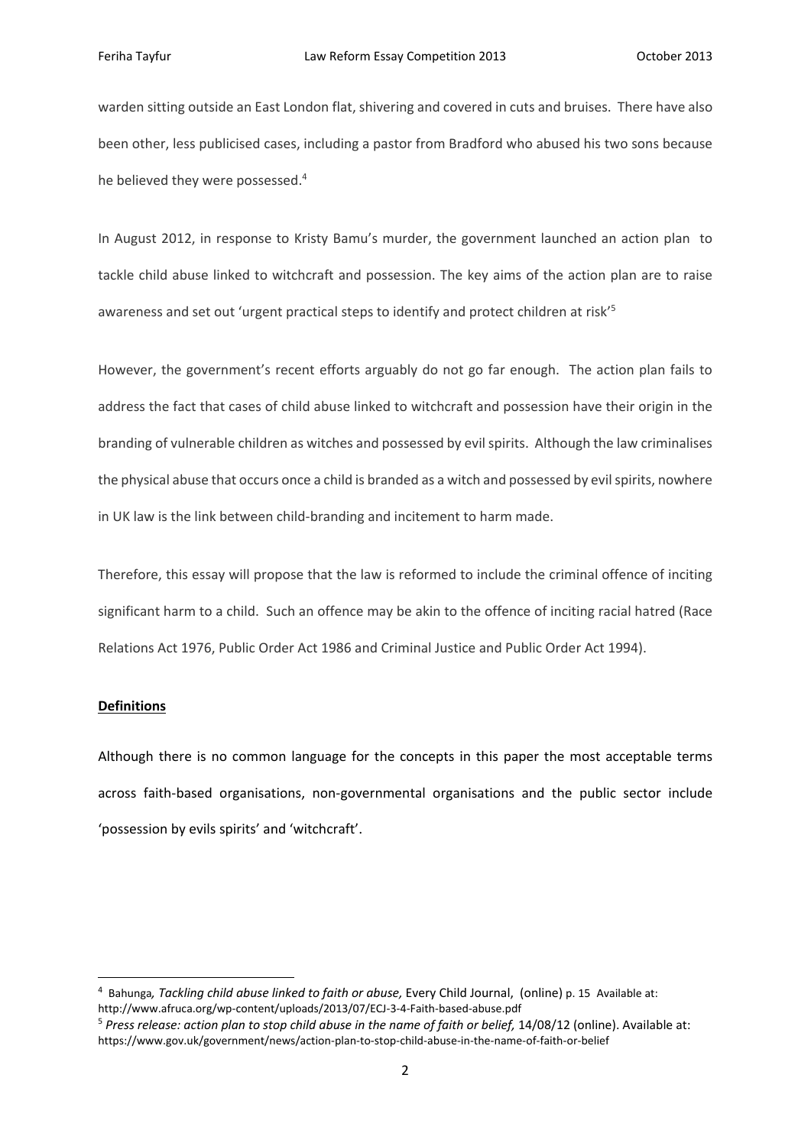warden sitting outside an East London flat, shivering and covered in cuts and bruises. There have also been other, less publicised cases, including a pastor from Bradford who abused his two sons because he believed they were possessed.<sup>4</sup>

In August 2012, in response to Kristy Bamu's murder, the government launched an action plan to tackle child abuse linked to witchcraft and possession. The key aims of the action plan are to raise awareness and set out 'urgent practical steps to identify and protect children at risk'<sup>5</sup>

However, the government's recent efforts arguably do not go far enough. The action plan fails to address the fact that cases of child abuse linked to witchcraft and possession have their origin in the branding of vulnerable children as witches and possessed by evilspirits. Although the law criminalises the physical abuse that occurs once a child is branded as a witch and possessed by evilspirits, nowhere in UK law is the link between child‐branding and incitement to harm made.

Therefore, this essay will propose that the law is reformed to include the criminal offence of inciting significant harm to a child. Such an offence may be akin to the offence of inciting racial hatred (Race Relations Act 1976, Public Order Act 1986 and Criminal Justice and Public Order Act 1994).

## **Definitions**

Although there is no common language for the concepts in this paper the most acceptable terms across faith‐based organisations, non‐governmental organisations and the public sector include 'possession by evils spirits' and 'witchcraft'.

<sup>4</sup> Bahunga*, Tackling child abuse linked to faith or abuse,* Every Child Journal, (online) p. 15 Available at: http://www.afruca.org/wp‐content/uploads/2013/07/ECJ‐3‐4‐Faith‐based‐abuse.pdf

<sup>5</sup> *Press release: action plan to stop child abuse in the name of faith or belief,* 14/08/12 (online). Available at: https://www.gov.uk/government/news/action‐plan‐to‐stop‐child‐abuse‐in‐the‐name‐of‐faith‐or‐belief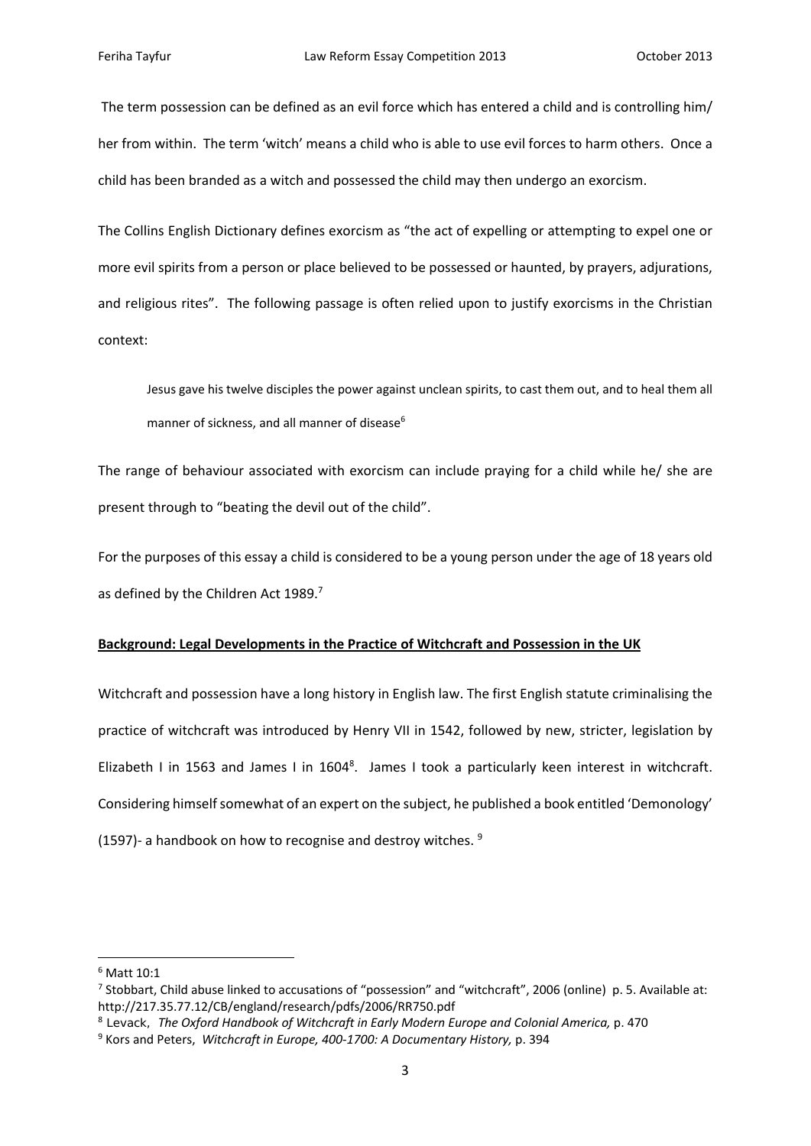The term possession can be defined as an evil force which has entered a child and is controlling him/ her from within. The term 'witch' means a child who is able to use evil forces to harm others. Once a child has been branded as a witch and possessed the child may then undergo an exorcism.

The Collins English Dictionary defines exorcism as "the act of expelling or attempting to expel one or more evil spirits from a person or place believed to be possessed or haunted, by prayers, adjurations, and religious rites". The following passage is often relied upon to justify exorcisms in the Christian context:

Jesus gave his twelve disciples the power against unclean spirits, to cast them out, and to heal them all manner of sickness, and all manner of disease<sup>6</sup>

The range of behaviour associated with exorcism can include praying for a child while he/ she are present through to "beating the devil out of the child".

For the purposes of this essay a child is considered to be a young person under the age of 18 years old as defined by the Children Act 1989.<sup>7</sup>

#### **Background: Legal Developments in the Practice of Witchcraft and Possession in the UK**

Witchcraft and possession have a long history in English law. The first English statute criminalising the practice of witchcraft was introduced by Henry VII in 1542, followed by new, stricter, legislation by Elizabeth I in 1563 and James I in  $1604^8$ . James I took a particularly keen interest in witchcraft. Considering himself somewhat of an expert on the subject, he published a book entitled 'Demonology' (1597) - a handbook on how to recognise and destroy witches.  $9$ 

<sup>6</sup> Matt 10:1

<sup>7</sup> Stobbart, Child abuse linked to accusations of "possession" and "witchcraft", 2006 (online) p. 5. Available at: http://217.35.77.12/CB/england/research/pdfs/2006/RR750.pdf

<sup>8</sup> Levack, *The Oxford Handbook of Witchcraft in Early Modern Europe and Colonial America,* p. 470

<sup>9</sup> Kors and Peters, *Witchcraft in Europe, 400‐1700: A Documentary History,* p. 394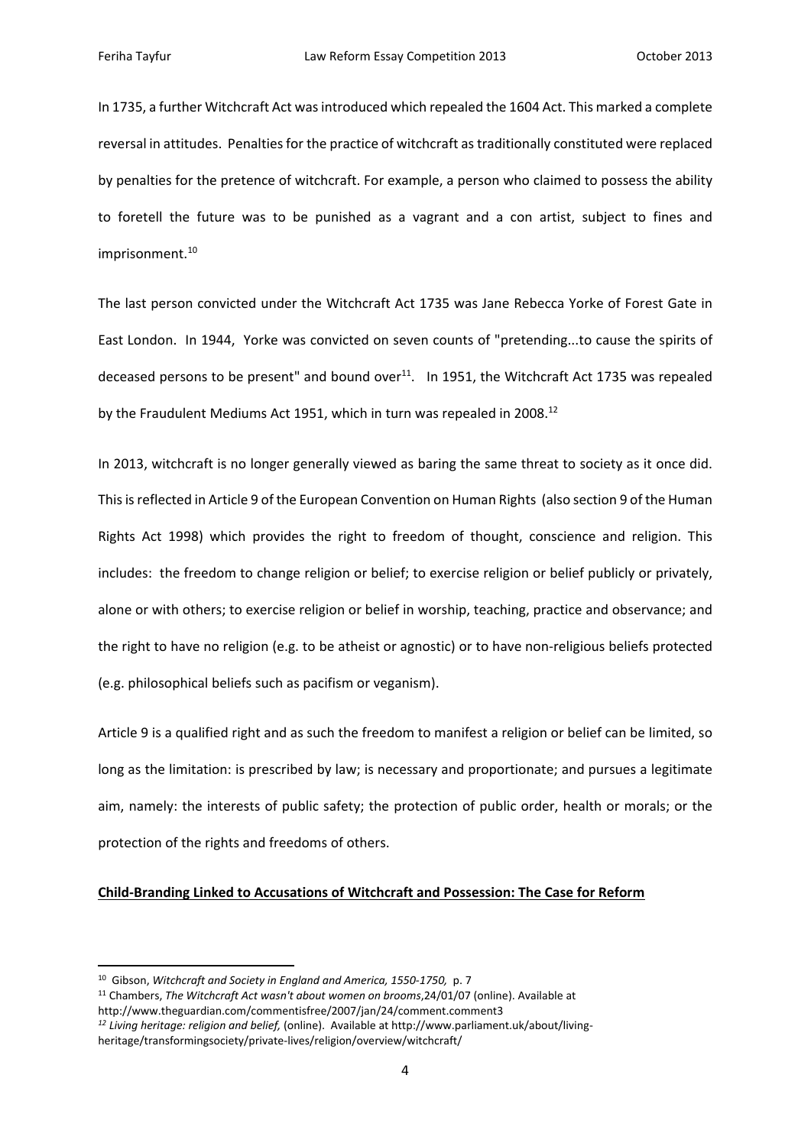In 1735, a further Witchcraft Act was introduced which repealed the 1604 Act. This marked a complete reversal in attitudes. Penalties for the practice of witchcraft as traditionally constituted were replaced by penalties for the pretence of witchcraft. For example, a person who claimed to possess the ability to foretell the future was to be punished as a vagrant and a con artist, subject to fines and imprisonment.<sup>10</sup>

The last person convicted under the Witchcraft Act 1735 was Jane Rebecca Yorke of Forest Gate in East London. In 1944, Yorke was convicted on seven counts of "pretending...to cause the spirits of deceased persons to be present" and bound over $^{11}$ . In 1951, the Witchcraft Act 1735 was repealed by the Fraudulent Mediums Act 1951, which in turn was repealed in 2008.<sup>12</sup>

In 2013, witchcraft is no longer generally viewed as baring the same threat to society as it once did. Thisisreflected in Article 9 of the European Convention on Human Rights (also section 9 of the Human Rights Act 1998) which provides the right to freedom of thought, conscience and religion. This includes: the freedom to change religion or belief; to exercise religion or belief publicly or privately, alone or with others; to exercise religion or belief in worship, teaching, practice and observance; and the right to have no religion (e.g. to be atheist or agnostic) or to have non‐religious beliefs protected (e.g. philosophical beliefs such as pacifism or veganism).

Article 9 is a qualified right and as such the freedom to manifest a religion or belief can be limited, so long as the limitation: is prescribed by law; is necessary and proportionate; and pursues a legitimate aim, namely: the interests of public safety; the protection of public order, health or morals; or the protection of the rights and freedoms of others.

# **Child‐Branding Linked to Accusations of Witchcraft and Possession: The Case for Reform**

<sup>10</sup> Gibson, *Witchcraft and Society in England and America, 1550‐1750,* p. 7

<sup>11</sup> Chambers, *The Witchcraft Act wasn't about women on brooms*,24/01/07 (online). Available at http://www.theguardian.com/commentisfree/2007/jan/24/comment.comment3

*<sup>12</sup> Living heritage: religion and belief,* (online). Available at http://www.parliament.uk/about/living‐ heritage/transformingsociety/private-lives/religion/overview/witchcraft/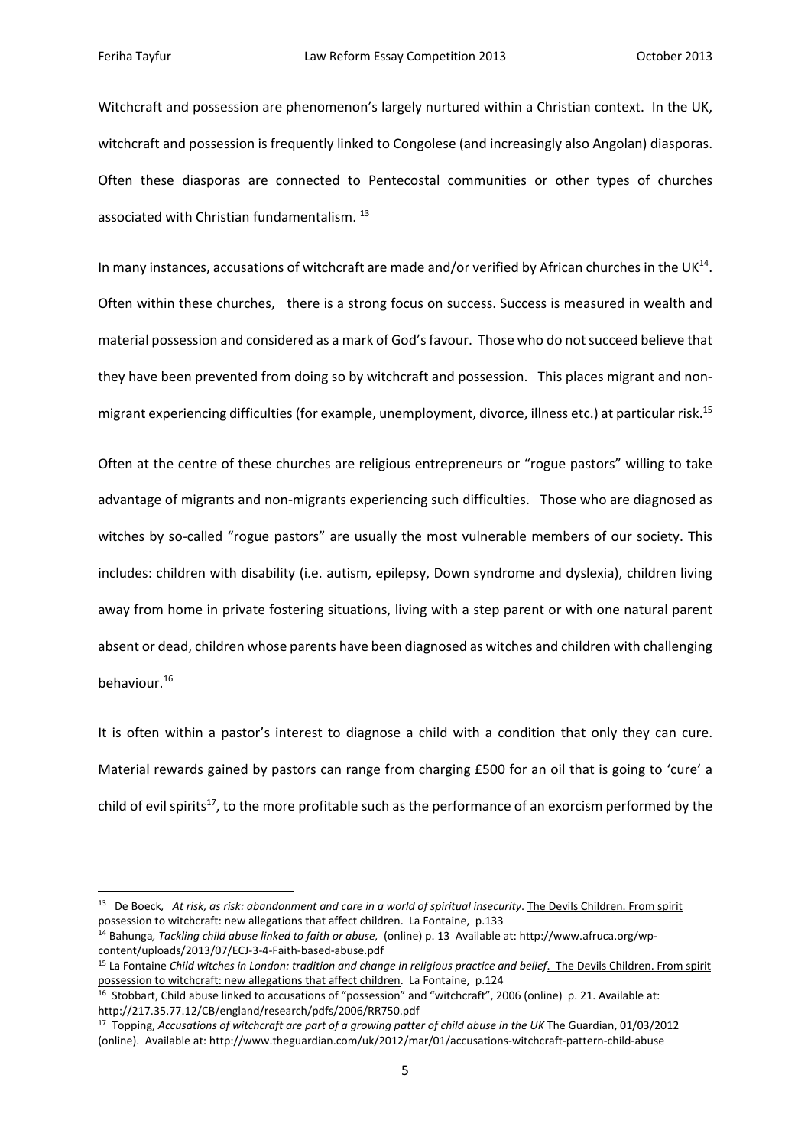Witchcraft and possession are phenomenon's largely nurtured within a Christian context. In the UK, witchcraft and possession is frequently linked to Congolese (and increasingly also Angolan) diasporas. Often these diasporas are connected to Pentecostal communities or other types of churches associated with Christian fundamentalism. <sup>13</sup>

In many instances, accusations of witchcraft are made and/or verified by African churches in the UK<sup>14</sup>. Often within these churches, there is a strong focus on success. Success is measured in wealth and material possession and considered as a mark of God'sfavour. Those who do notsucceed believe that they have been prevented from doing so by witchcraft and possession. This places migrant and non‐ migrant experiencing difficulties (for example, unemployment, divorce, illness etc.) at particular risk.15

Often at the centre of these churches are religious entrepreneurs or "rogue pastors" willing to take advantage of migrants and non‐migrants experiencing such difficulties. Those who are diagnosed as witches by so-called "rogue pastors" are usually the most vulnerable members of our society. This includes: children with disability (i.e. autism, epilepsy, Down syndrome and dyslexia), children living away from home in private fostering situations, living with a step parent or with one natural parent absent or dead, children whose parents have been diagnosed as witches and children with challenging behaviour.16

It is often within a pastor's interest to diagnose a child with a condition that only they can cure. Material rewards gained by pastors can range from charging £500 for an oil that is going to 'cure' a child of evil spirits<sup>17</sup>, to the more profitable such as the performance of an exorcism performed by the

<sup>&</sup>lt;sup>13</sup> De Boeck, At risk, as risk: abandonment and care in a world of spiritual insecurity. The Devils Children. From spirit possession to witchcraft: new allegations that affect children. La Fontaine, p.133

<sup>14</sup> Bahunga*, Tackling child abuse linked to faith or abuse,* (online) p. 13 Available at: http://www.afruca.org/wp‐ content/uploads/2013/07/ECJ‐3‐4‐Faith‐based‐abuse.pdf

<sup>15</sup> La Fontaine *Child witches in London: tradition and change in religious practice and belief*. The Devils Children. From spirit possession to witchcraft: new allegations that affect children. La Fontaine, p.124

<sup>&</sup>lt;sup>16</sup> Stobbart, Child abuse linked to accusations of "possession" and "witchcraft", 2006 (online) p. 21. Available at: http://217.35.77.12/CB/england/research/pdfs/2006/RR750.pdf

<sup>17</sup> Topping, *Accusations of witchcraft are part of a growing patter of child abuse in the UK* The Guardian, 01/03/2012 (online). Available at: http://www.theguardian.com/uk/2012/mar/01/accusations‐witchcraft‐pattern‐child‐abuse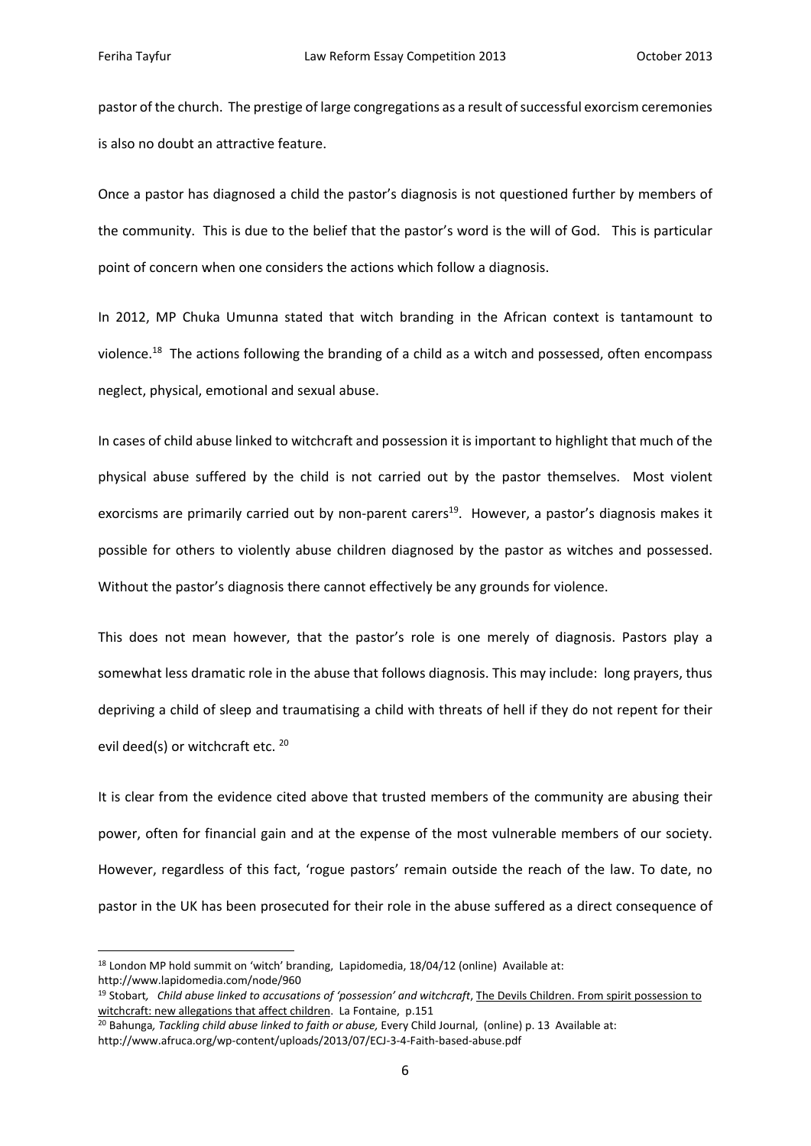pastor of the church. The prestige of large congregations as a result of successful exorcism ceremonies is also no doubt an attractive feature.

Once a pastor has diagnosed a child the pastor's diagnosis is not questioned further by members of the community. This is due to the belief that the pastor's word is the will of God. This is particular point of concern when one considers the actions which follow a diagnosis.

In 2012, MP Chuka Umunna stated that witch branding in the African context is tantamount to violence.<sup>18</sup> The actions following the branding of a child as a witch and possessed, often encompass neglect, physical, emotional and sexual abuse.

In cases of child abuse linked to witchcraft and possession it is important to highlight that much of the physical abuse suffered by the child is not carried out by the pastor themselves. Most violent exorcisms are primarily carried out by non-parent carers<sup>19</sup>. However, a pastor's diagnosis makes it possible for others to violently abuse children diagnosed by the pastor as witches and possessed. Without the pastor's diagnosis there cannot effectively be any grounds for violence.

This does not mean however, that the pastor's role is one merely of diagnosis. Pastors play a somewhat less dramatic role in the abuse that follows diagnosis. This may include: long prayers, thus depriving a child of sleep and traumatising a child with threats of hell if they do not repent for their evil deed(s) or witchcraft etc. <sup>20</sup>

It is clear from the evidence cited above that trusted members of the community are abusing their power, often for financial gain and at the expense of the most vulnerable members of our society. However, regardless of this fact, 'rogue pastors' remain outside the reach of the law. To date, no pastor in the UK has been prosecuted for their role in the abuse suffered as a direct consequence of

 $18$  London MP hold summit on 'witch' branding, Lapidomedia,  $18/04/12$  (online) Available at: http://www.lapidomedia.com/node/960

<sup>19</sup> Stobart*, Child abuse linked to accusations of 'possession' and witchcraft*, The Devils Children. From spirit possession to witchcraft: new allegations that affect children. La Fontaine, p.151

<sup>20</sup> Bahunga*, Tackling child abuse linked to faith or abuse,* Every Child Journal, (online) p. 13 Available at:

http://www.afruca.org/wp‐content/uploads/2013/07/ECJ‐3‐4‐Faith‐based‐abuse.pdf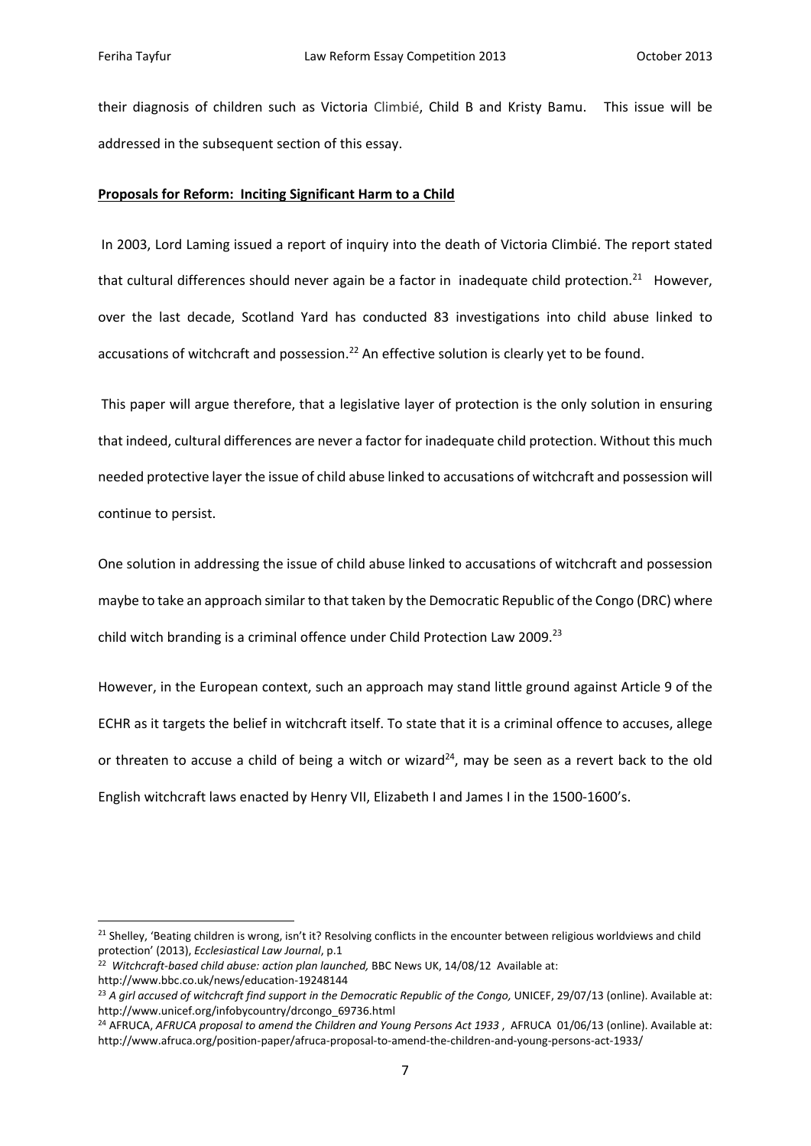their diagnosis of children such as Victoria Climbié, Child B and Kristy Bamu. This issue will be addressed in the subsequent section of this essay.

#### **Proposals for Reform: Inciting Significant Harm to a Child**

In 2003, Lord Laming issued a report of inquiry into the death of Victoria Climbié. The report stated that cultural differences should never again be a factor in inadequate child protection.<sup>21</sup> However, over the last decade, Scotland Yard has conducted 83 investigations into child abuse linked to accusations of witchcraft and possession.<sup>22</sup> An effective solution is clearly yet to be found.

This paper will argue therefore, that a legislative layer of protection is the only solution in ensuring that indeed, cultural differences are never a factor for inadequate child protection. Without this much needed protective layer the issue of child abuse linked to accusations of witchcraft and possession will continue to persist.

One solution in addressing the issue of child abuse linked to accusations of witchcraft and possession maybe to take an approach similar to that taken by the Democratic Republic of the Congo (DRC) where child witch branding is a criminal offence under Child Protection Law 2009.<sup>23</sup>

However, in the European context, such an approach may stand little ground against Article 9 of the ECHR as it targets the belief in witchcraft itself. To state that it is a criminal offence to accuses, allege or threaten to accuse a child of being a witch or wizard<sup>24</sup>, may be seen as a revert back to the old English witchcraft laws enacted by Henry VII, Elizabeth I and James I in the 1500‐1600's.

<sup>&</sup>lt;sup>21</sup> Shelley, 'Beating children is wrong, isn't it? Resolving conflicts in the encounter between religious worldviews and child protection' (2013), *Ecclesiastical Law Journal*, p.1

<sup>22</sup> *Witchcraft‐based child abuse: action plan launched,* BBC News UK, 14/08/12 Available at:

http://www.bbc.co.uk/news/education‐19248144

<sup>23</sup> *A girl accused of witchcraft find support in the Democratic Republic of the Congo,* UNICEF, 29/07/13 (online). Available at: http://www.unicef.org/infobycountry/drcongo\_69736.html

<sup>24</sup> AFRUCA, *AFRUCA proposal to amend the Children and Young Persons Act 1933* , AFRUCA 01/06/13 (online). Available at: http://www.afruca.org/position‐paper/afruca‐proposal‐to‐amend‐the‐children‐and‐young‐persons‐act‐1933/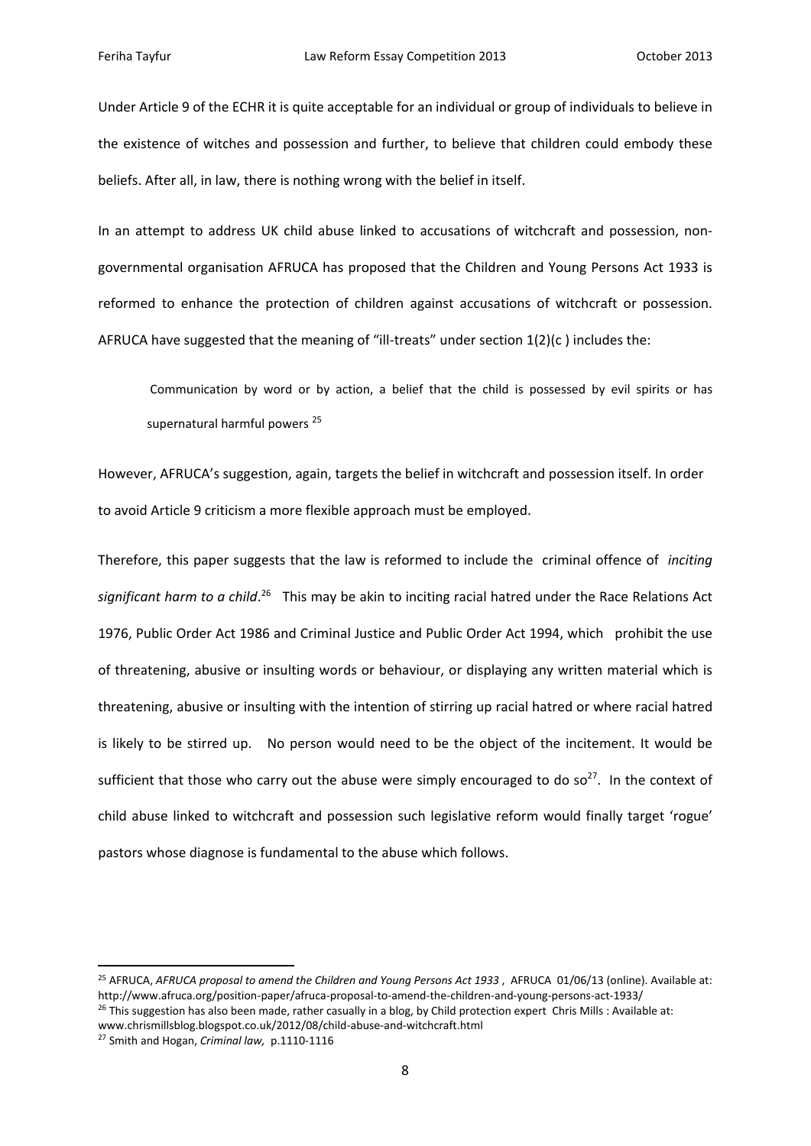Under Article 9 of the ECHR it is quite acceptable for an individual or group of individuals to believe in the existence of witches and possession and further, to believe that children could embody these beliefs. After all, in law, there is nothing wrong with the belief in itself.

In an attempt to address UK child abuse linked to accusations of witchcraft and possession, nongovernmental organisation AFRUCA has proposed that the Children and Young Persons Act 1933 is reformed to enhance the protection of children against accusations of witchcraft or possession. AFRUCA have suggested that the meaning of "ill-treats" under section  $1(2)(c)$  includes the:

Communication by word or by action, a belief that the child is possessed by evil spirits or has supernatural harmful powers<sup>25</sup>

However, AFRUCA's suggestion, again, targets the belief in witchcraft and possession itself. In order to avoid Article 9 criticism a more flexible approach must be employed.

Therefore, this paper suggests that the law is reformed to include the criminal offence of *inciting significant harm to a child*. <sup>26</sup> This may be akin to inciting racial hatred under the Race Relations Act 1976, Public Order Act 1986 and Criminal Justice and Public Order Act 1994, which prohibit the use of threatening, abusive or insulting words or behaviour, or displaying any written material which is threatening, abusive or insulting with the intention of stirring up racial hatred or where racial hatred is likely to be stirred up. No person would need to be the object of the incitement. It would be sufficient that those who carry out the abuse were simply encouraged to do so<sup>27</sup>. In the context of child abuse linked to witchcraft and possession such legislative reform would finally target 'rogue' pastors whose diagnose is fundamental to the abuse which follows.

<sup>25</sup> AFRUCA, *AFRUCA proposal to amend the Children and Young Persons Act 1933* , AFRUCA 01/06/13 (online). Available at: http://www.afruca.org/position‐paper/afruca‐proposal‐to‐amend‐the‐children‐and‐young‐persons‐act‐1933/

 $26$  This suggestion has also been made, rather casually in a blog, by Child protection expert Chris Mills : Available at:

www.chrismillsblog.blogspot.co.uk/2012/08/child‐abuse‐and‐witchcraft.html

<sup>27</sup> Smith and Hogan, *Criminal law,* p.1110‐1116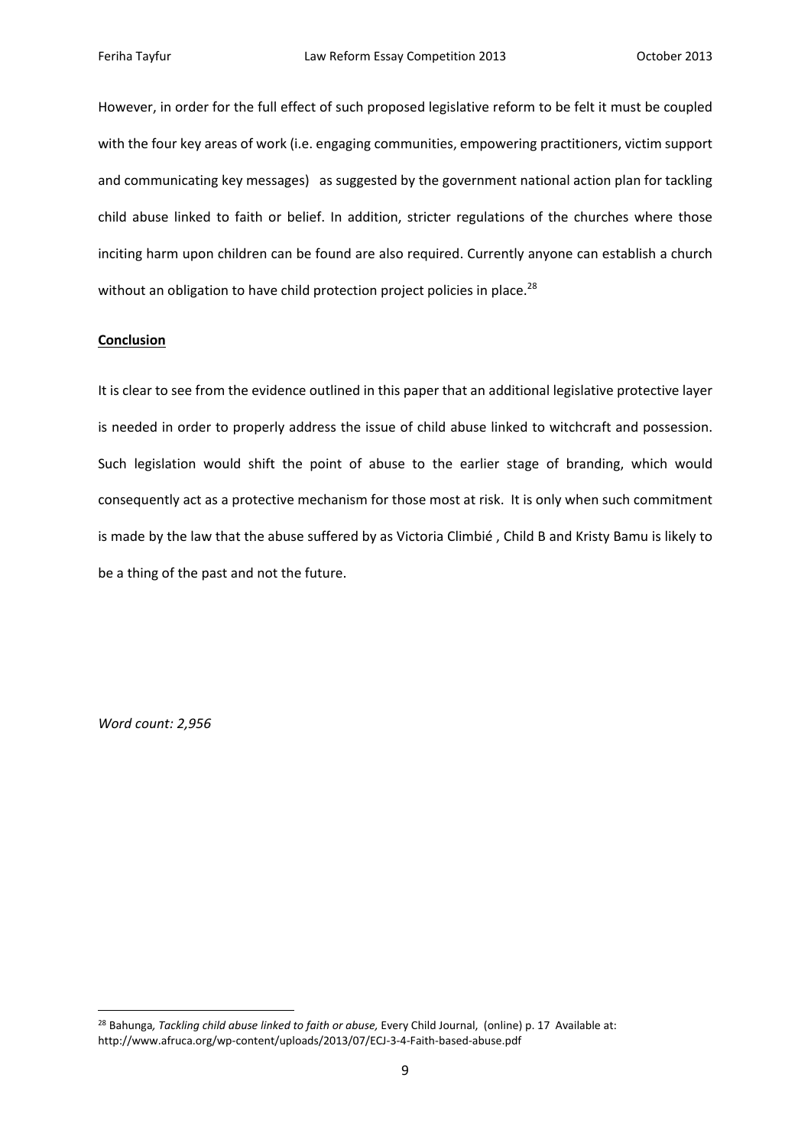However, in order for the full effect of such proposed legislative reform to be felt it must be coupled with the four key areas of work (i.e. engaging communities, empowering practitioners, victim support and communicating key messages) as suggested by the government national action plan for tackling child abuse linked to faith or belief. In addition, stricter regulations of the churches where those inciting harm upon children can be found are also required. Currently anyone can establish a church without an obligation to have child protection project policies in place.<sup>28</sup>

## **Conclusion**

It is clear to see from the evidence outlined in this paper that an additional legislative protective layer is needed in order to properly address the issue of child abuse linked to witchcraft and possession. Such legislation would shift the point of abuse to the earlier stage of branding, which would consequently act as a protective mechanism for those most at risk. It is only when such commitment is made by the law that the abuse suffered by as Victoria Climbié , Child B and Kristy Bamu is likely to be a thing of the past and not the future.

*Word count: 2,956*

<sup>28</sup> Bahunga*, Tackling child abuse linked to faith or abuse,* Every Child Journal, (online) p. 17 Available at: http://www.afruca.org/wp‐content/uploads/2013/07/ECJ‐3‐4‐Faith‐based‐abuse.pdf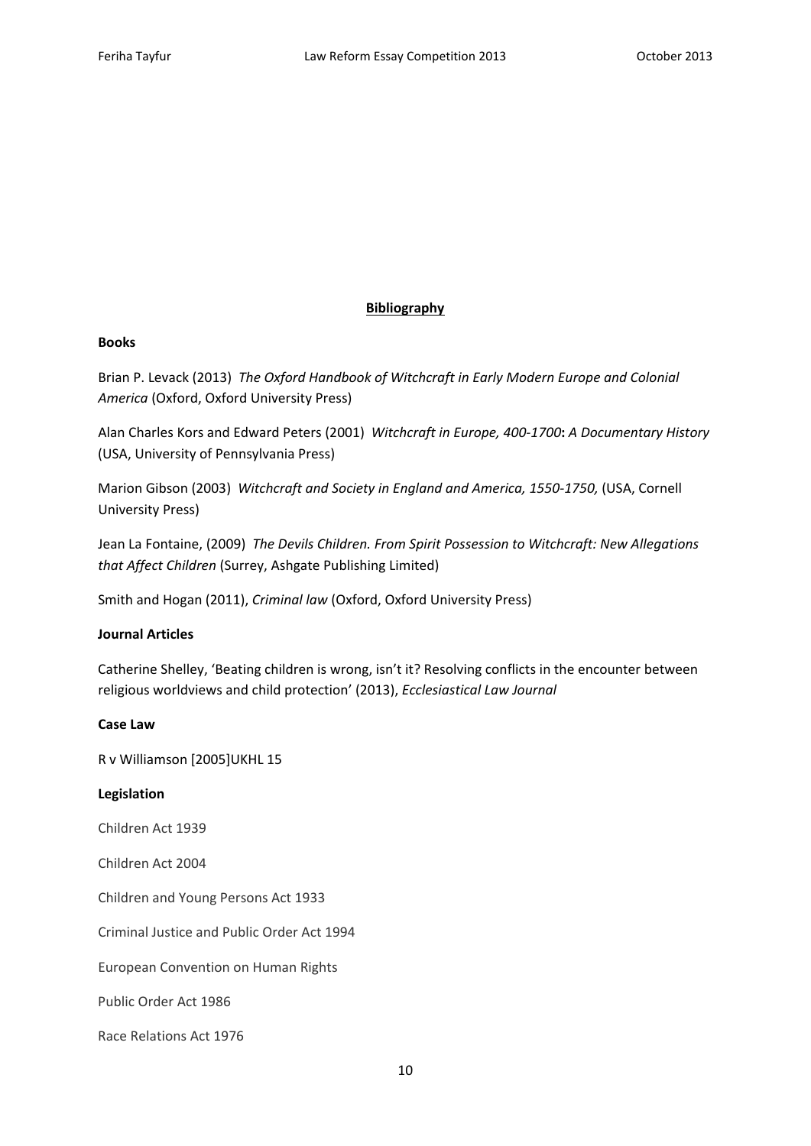# **Bibliography**

### **Books**

Brian P. Levack (2013) *The Oxford Handbook of Witchcraft in Early Modern Europe and Colonial America* (Oxford, Oxford University Press)

Alan Charles Kors and Edward Peters (2001) *Witchcraft in Europe, 400‐1700***:** *A Documentary History* (USA, University of Pennsylvania Press)

Marion Gibson (2003) *Witchcraft and Society in England and America, 1550‐1750,* (USA, Cornell University Press)

Jean La Fontaine, (2009) *The Devils Children. From Spirit Possession to Witchcraft: New Allegations that Affect Children* (Surrey, Ashgate Publishing Limited)

Smith and Hogan (2011), *Criminal law* (Oxford, Oxford University Press)

# **Journal Articles**

Catherine Shelley, 'Beating children is wrong, isn't it? Resolving conflicts in the encounter between religious worldviews and child protection' (2013), *Ecclesiastical Law Journal*

### **Case Law**

R v Williamson [2005]UKHL 15

## **Legislation**

Children Act 1939

Children Act 2004

Children and Young Persons Act 1933

Criminal Justice and Public Order Act 1994

European Convention on Human Rights

Public Order Act 1986

Race Relations Act 1976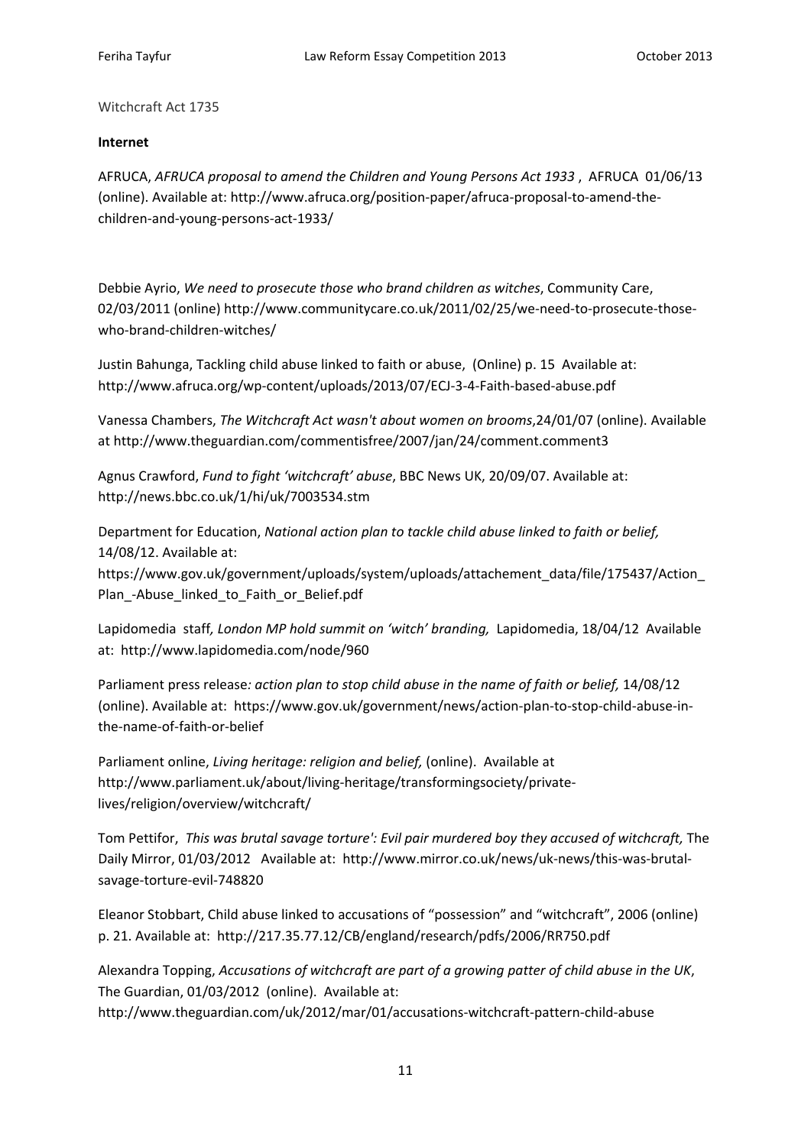Witchcraft Act 1735

# **Internet**

AFRUCA, *AFRUCA proposal to amend the Children and Young Persons Act 1933* , AFRUCA 01/06/13 (online). Available at: http://www.afruca.org/position‐paper/afruca‐proposal‐to‐amend‐the‐ children‐and‐young‐persons‐act‐1933/

Debbie Ayrio, *We need to prosecute those who brand children as witches*, Community Care, 02/03/2011 (online) http://www.communitycare.co.uk/2011/02/25/we-need-to-prosecute-thosewho-brand-children-witches/

Justin Bahunga, Tackling child abuse linked to faith or abuse, (Online) p. 15 Available at: http://www.afruca.org/wp‐content/uploads/2013/07/ECJ‐3‐4‐Faith‐based‐abuse.pdf

Vanessa Chambers, *The Witchcraft Act wasn't about women on brooms*,24/01/07 (online). Available at http://www.theguardian.com/commentisfree/2007/jan/24/comment.comment3

Agnus Crawford, *Fund to fight 'witchcraft' abuse*, BBC News UK, 20/09/07. Available at: http://news.bbc.co.uk/1/hi/uk/7003534.stm

Department for Education, *National action plan to tackle child abuse linked to faith or belief,* 14/08/12. Available at:

https://www.gov.uk/government/uploads/system/uploads/attachement\_data/file/175437/Action\_ Plan -Abuse linked to Faith or Belief.pdf

Lapidomedia staff*, London MP hold summit on 'witch' branding,* Lapidomedia, 18/04/12 Available at: http://www.lapidomedia.com/node/960

Parliament press release*: action plan to stop child abuse in the name of faith or belief,* 14/08/12 (online). Available at: https://www.gov.uk/government/news/action‐plan‐to‐stop‐child‐abuse‐in‐ the‐name‐of‐faith‐or‐belief

Parliament online, *Living heritage: religion and belief,* (online). Available at http://www.parliament.uk/about/living‐heritage/transformingsociety/private‐ lives/religion/overview/witchcraft/

Tom Pettifor, *This was brutal savage torture': Evil pair murdered boy they accused of witchcraft,* The Daily Mirror, 01/03/2012 Available at: http://www.mirror.co.uk/news/uk-news/this-was-brutalsavage‐torture‐evil‐748820

Eleanor Stobbart, Child abuse linked to accusations of "possession" and "witchcraft", 2006 (online) p. 21. Available at: http://217.35.77.12/CB/england/research/pdfs/2006/RR750.pdf

Alexandra Topping, *Accusations of witchcraft are part of a growing patter of child abuse in the UK*, The Guardian, 01/03/2012 (online). Available at: http://www.theguardian.com/uk/2012/mar/01/accusations‐witchcraft‐pattern‐child‐abuse